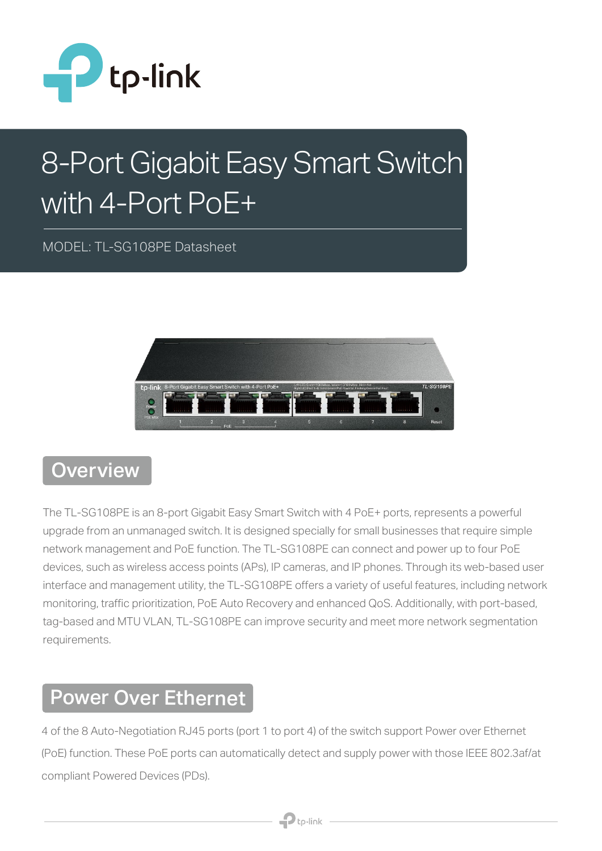

# 8-Port Gigabit Easy Smart Switch with 4-Port PoE+

MODEL: TL-SG108PE Datasheet



#### **Overview**

The TL-SG108PE is an 8-port Gigabit Easy Smart Switch with 4 PoE+ ports, represents a powerful upgrade from an unmanaged switch. It is designed specially for small businesses that require simple network management and PoE function. The TL-SG108PE can connect and power up to four PoE devices, such as wireless access points (APs), IP cameras, and IP phones. Through its web-based user interface and management utility, the TL-SG108PE offers a variety of useful features, including network monitoring, traffic prioritization, PoE Auto Recovery and enhanced QoS. Additionally, with port-based, tag-based and MTU VLAN, TL-SG108PE can improve security and meet more network segmentation requirements.

#### Power Over Ethernet

4 of the 8 Auto-Negotiation RJ45 ports (port 1 to port 4) of the switch support Power over Ethernet (PoE) function. These PoE ports can automatically detect and supply power with those IEEE 802.3af/at compliant Powered Devices (PDs).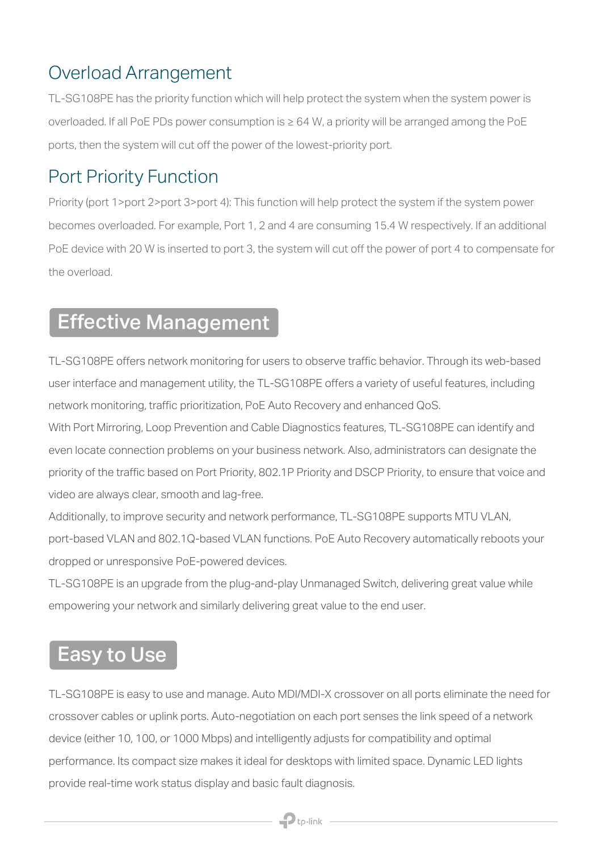#### Overload Arrangement

TL-SG108PE has the priority function which will help protect the system when the system power is overloaded. If all PoE PDs power consumption is ≥ 64 W, a priority will be arranged among the PoE ports, then the system will cut off the power of the lowest-priority port.

#### Port Priority Function

Priority (port 1>port 2>port 3>port 4): This function will help protect the system if the system power becomes overloaded. For example, Port 1, 2 and 4 are consuming 15.4 W respectively. If an additional PoE device with 20 W is inserted to port 3, the system will cut off the power of port 4 to compensate for the overload.

### Effective Management

TL-SG108PE offers network monitoring for users to observe traffic behavior. Through its web-based user interface and management utility, the TL-SG108PE offers a variety of useful features, including network monitoring, traffic prioritization, PoE Auto Recovery and enhanced QoS.

With Port Mirroring, Loop Prevention and Cable Diagnostics features, TL-SG108PE can identify and even locate connection problems on your business network. Also, administrators can designate the priority of the traffic based on Port Priority, 802.1P Priority and DSCP Priority, to ensure that voice and video are always clear, smooth and lag-free.

Additionally, to improve security and network performance, TL-SG108PE supports MTU VLAN, port-based VLAN and 802.1Q-based VLAN functions. PoE Auto Recovery automatically reboots your dropped or unresponsive PoE-powered devices.

TL-SG108PE is an upgrade from the plug-and-play Unmanaged Switch, delivering great value while empowering your network and similarly delivering great value to the end user.

#### Easy to Use

TL-SG108PE is easy to use and manage. Auto MDI/MDI-X crossover on all ports eliminate the need for crossover cables or uplink ports. Auto-negotiation on each port senses the link speed of a network device (either 10, 100, or 1000 Mbps) and intelligently adjusts for compatibility and optimal performance. Its compact size makes it ideal for desktops with limited space. Dynamic LED lights provide real-time work status display and basic fault diagnosis.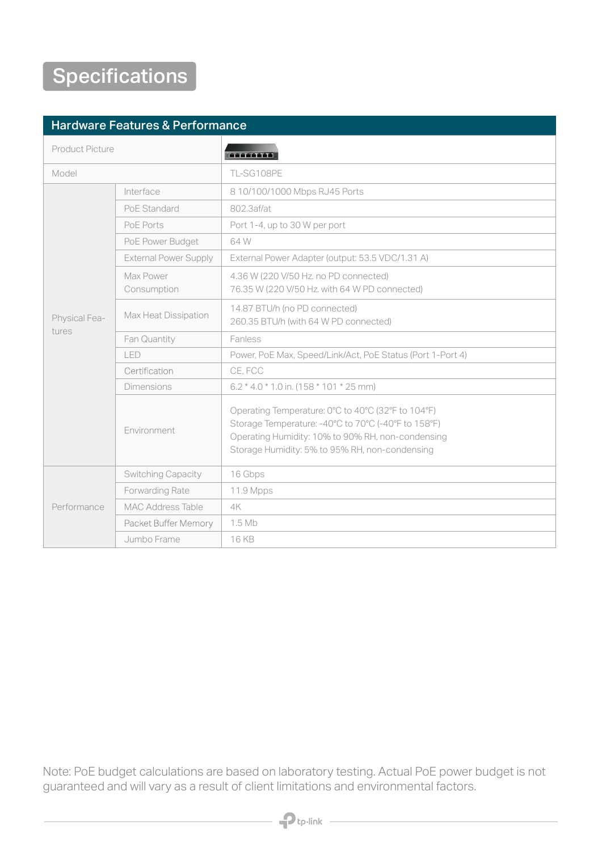## **Specifications**

#### Hardware Features & Performance

| Product Picture        |                              | <b>ARRIVETS</b>                                                                                                                                                                                                  |
|------------------------|------------------------------|------------------------------------------------------------------------------------------------------------------------------------------------------------------------------------------------------------------|
| Model                  |                              | TL-SG108PE                                                                                                                                                                                                       |
| Physical Fea-<br>tures | Interface                    | 8 10/100/1000 Mbps RJ45 Ports                                                                                                                                                                                    |
|                        | PoE Standard                 | 802.3af/at                                                                                                                                                                                                       |
|                        | PoE Ports                    | Port 1-4, up to 30 W per port                                                                                                                                                                                    |
|                        | PoE Power Budget             | 64 W                                                                                                                                                                                                             |
|                        | <b>External Power Supply</b> | External Power Adapter (output: 53.5 VDC/1.31 A)                                                                                                                                                                 |
|                        | Max Power<br>Consumption     | 4.36 W (220 V/50 Hz. no PD connected)<br>76.35 W (220 V/50 Hz. with 64 W PD connected)                                                                                                                           |
|                        | Max Heat Dissipation         | 14.87 BTU/h (no PD connected)<br>260.35 BTU/h (with 64 W PD connected)                                                                                                                                           |
|                        | Fan Quantity                 | Fanless                                                                                                                                                                                                          |
|                        | LED                          | Power, PoE Max, Speed/Link/Act, PoE Status (Port 1-Port 4)                                                                                                                                                       |
|                        | Certification                | CE, FCC                                                                                                                                                                                                          |
|                        | <b>Dimensions</b>            | $6.2 * 4.0 * 1.0$ in. (158 $*$ 101 $*$ 25 mm)                                                                                                                                                                    |
|                        | Environment                  | Operating Temperature: 0°C to 40°C (32°F to 104°F)<br>Storage Temperature: -40°C to 70°C (-40°F to 158°F)<br>Operating Humidity: 10% to 90% RH, non-condensing<br>Storage Humidity: 5% to 95% RH, non-condensing |
| Performance            | <b>Switching Capacity</b>    | 16 Gbps                                                                                                                                                                                                          |
|                        | Forwarding Rate              | 11.9 Mpps                                                                                                                                                                                                        |
|                        | <b>MAC Address Table</b>     | 4K                                                                                                                                                                                                               |
|                        | Packet Buffer Memory         | 1.5 Mb                                                                                                                                                                                                           |
|                        | Jumbo Frame                  | 16 KB                                                                                                                                                                                                            |

Note: PoE budget calculations are based on laboratory testing. Actual PoE power budget is not guaranteed and will vary as a result of client limitations and environmental factors.